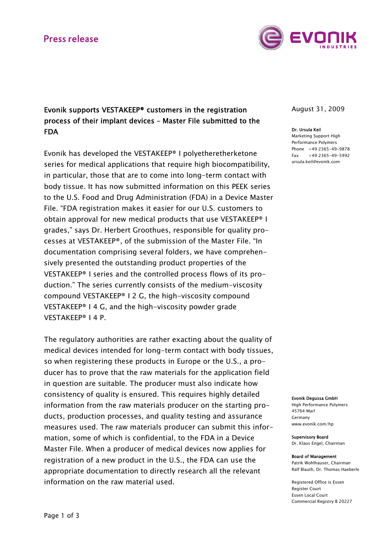# **Press release**



# Evonik supports VESTAKEEP® customers in the registration process of their implant devices – Master File submitted to the FDA

Evonik has developed the VESTAKEEP® I polyetheretherketone series for medical applications that require high biocompatibility, in particular, those that are to come into long-term contact with body tissue. It has now submitted information on this PEEK series to the U.S. Food and Drug Administration (FDA) in a Device Master File. "FDA registration makes it easier for our U.S. customers to obtain approval for new medical products that use VESTAKEEP® I grades," says Dr. Herbert Groothues, responsible for quality processes at VESTAKEEP®, of the submission of the Master File. "In documentation comprising several folders, we have comprehensively presented the outstanding product properties of the VESTAKEEP® I series and the controlled process flows of its production." The series currently consists of the medium-viscosity compound VESTAKEEP® I 2 G, the high-viscosity compound VESTAKEEP® I 4 G, and the high-viscosity powder grade VESTAKEEP® I 4 P.

The regulatory authorities are rather exacting about the quality of medical devices intended for long-term contact with body tissues, so when registering these products in Europe or the U.S., a producer has to prove that the raw materials for the application field in question are suitable. The producer must also indicate how consistency of quality is ensured. This requires highly detailed information from the raw materials producer on the starting products, production processes, and quality testing and assurance measures used. The raw materials producer can submit this information, some of which is confidential, to the FDA in a Device Master File. When a producer of medical devices now applies for registration of a new product in the U.S., the FDA can use the appropriate documentation to directly research all the relevant information on the raw material used.

August 31, 2009

### Dr. Ursula Keil

Marketing Support High Performance Polymers Phone +49 2365-49-9878  $Fax +49 2365 -49 -5992$ ursula.keil@evonik.com

Evonik Degussa GmbH

High Performance Polymers 45764 Marl Germany www.evonik.com/hp

Supervisory Board Dr. Klaus Engel, Chairman

#### Board of Management Patrik Wohlhauser, Chairman Ralf Blauth, Dr. Thomas Haeberle

Registered Office is Essen Register Court Essen Local Court Commercial Registry B 20227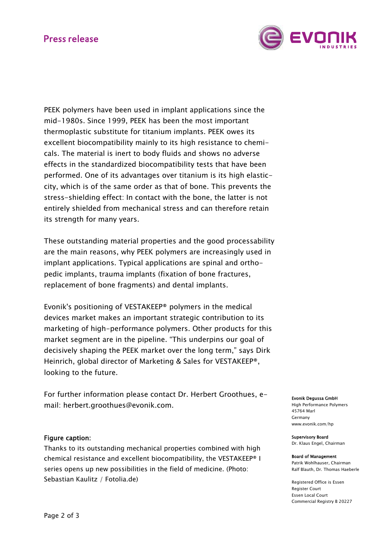# **Press release**



PEEK polymers have been used in implant applications since the mid-1980s. Since 1999, PEEK has been the most important thermoplastic substitute for titanium implants. PEEK owes its excellent biocompatibility mainly to its high resistance to chemicals. The material is inert to body fluids and shows no adverse effects in the standardized biocompatibility tests that have been performed. One of its advantages over titanium is its high elasticcity, which is of the same order as that of bone. This prevents the stress-shielding effect: In contact with the bone, the latter is not entirely shielded from mechanical stress and can therefore retain its strength for many years.

These outstanding material properties and the good processability are the main reasons, why PEEK polymers are increasingly used in implant applications. Typical applications are spinal and orthopedic implants, trauma implants (fixation of bone fractures, replacement of bone fragments) and dental implants.

Evonik's positioning of VESTAKEEP® polymers in the medical devices market makes an important strategic contribution to its marketing of high-performance polymers. Other products for this market segment are in the pipeline. "This underpins our goal of decisively shaping the PEEK market over the long term," says Dirk Heinrich, global director of Marketing & Sales for VESTAKEEP®, looking to the future.

For further information please contact Dr. Herbert Groothues, email: herbert.groothues@evonik.com.

## Figure caption:

Thanks to its outstanding mechanical properties combined with high chemical resistance and excellent biocompatibility, the VESTAKEEP® I series opens up new possibilities in the field of medicine. (Photo: Sebastian Kaulitz / Fotolia.de)

#### Evonik Degussa GmbH

High Performance Polymers 45764 Marl Germany www.evonik.com/hp

Supervisory Board Dr. Klaus Engel, Chairman

#### Board of Management Patrik Wohlhauser, Chairman Ralf Blauth, Dr. Thomas Haeberle

Registered Office is Essen Register Court Essen Local Court Commercial Registry B 20227